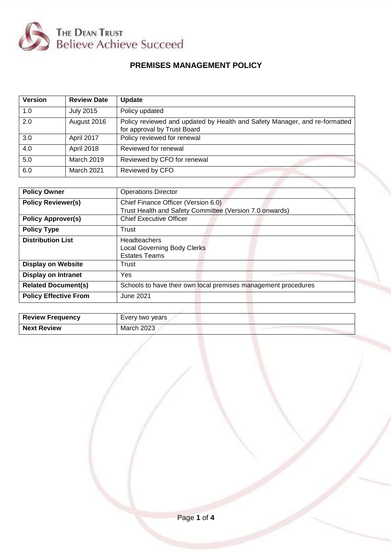

# **PREMISES MANAGEMENT POLICY**

| <b>Version</b> | <b>Review Date</b> | <b>Update</b>                                                                                             |
|----------------|--------------------|-----------------------------------------------------------------------------------------------------------|
| 1.0            | <b>July 2015</b>   | Policy updated                                                                                            |
| 2.0            | August 2016        | Policy reviewed and updated by Health and Safety Manager, and re-formatted<br>for approval by Trust Board |
| 3.0            | April 2017         | Policy reviewed for renewal                                                                               |
| 4.0            | April 2018         | Reviewed for renewal                                                                                      |
| 5.0            | <b>March 2019</b>  | Reviewed by CFO for renewal                                                                               |
| 6.0            | March 2021         | Reviewed by CFO                                                                                           |

| <b>Policy Owner</b>          | <b>Operations Director</b>                                     |
|------------------------------|----------------------------------------------------------------|
| <b>Policy Reviewer(s)</b>    | Chief Finance Officer (Version 6.0)                            |
|                              | Trust Health and Safety Committee (Version 7.0 onwards)        |
| <b>Policy Approver(s)</b>    | <b>Chief Executive Officer</b>                                 |
| <b>Policy Type</b>           | Trust                                                          |
| <b>Distribution List</b>     | Headteachers                                                   |
|                              | <b>Local Governing Body Clerks</b>                             |
|                              | <b>Estates Teams</b>                                           |
| <b>Display on Website</b>    | Trust                                                          |
| <b>Display on Intranet</b>   | <b>Yes</b>                                                     |
| <b>Related Document(s)</b>   | Schools to have their own local premises management procedures |
| <b>Policy Effective From</b> | June 2021                                                      |
|                              |                                                                |

| <b>Review Frequency</b> | Every two years |
|-------------------------|-----------------|
| <b>Next Review</b>      | March 2023      |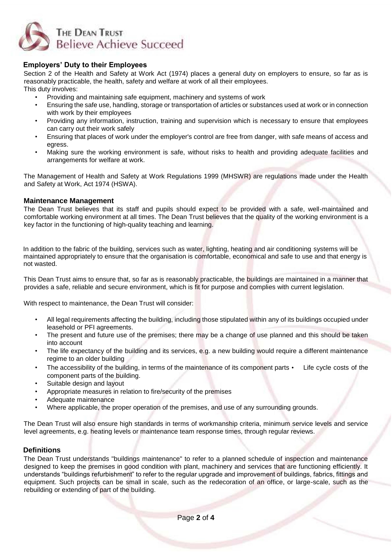

# **Employers' Duty to their Employees**

Section 2 of the Health and Safety at Work Act (1974) places a general duty on employers to ensure, so far as is reasonably practicable, the health, safety and welfare at work of all their employees. This duty involves:

• Providing and maintaining safe equipment, machinery and systems of work

- Ensuring the safe use, handling, storage or transportation of articles or substances used at work or in connection with work by their employees
- Providing any information, instruction, training and supervision which is necessary to ensure that employees can carry out their work safely
- Ensuring that places of work under the employer's control are free from danger, with safe means of access and egress.
- Making sure the working environment is safe, without risks to health and providing adequate facilities and arrangements for welfare at work.

The Management of Health and Safety at Work Regulations 1999 (MHSWR) are regulations made under the Health and Safety at Work, Act 1974 (HSWA).

#### **Maintenance Management**

The Dean Trust believes that its staff and pupils should expect to be provided with a safe, well-maintained and comfortable working environment at all times. The Dean Trust believes that the quality of the working environment is a key factor in the functioning of high-quality teaching and learning.

In addition to the fabric of the building, services such as water, lighting, heating and air conditioning systems will be maintained appropriately to ensure that the organisation is comfortable, economical and safe to use and that energy is not wasted.

This Dean Trust aims to ensure that, so far as is reasonably practicable, the buildings are maintained in a manner that provides a safe, reliable and secure environment, which is fit for purpose and complies with current legislation.

With respect to maintenance, the Dean Trust will consider:

- All legal requirements affecting the building, including those stipulated within any of its buildings occupied under leasehold or PFI agreements.
- The present and future use of the premises; there may be a change of use planned and this should be taken into account
- The life expectancy of the building and its services, e.g. a new building would require a different maintenance regime to an older building
- The accessibility of the building, in terms of the maintenance of its component parts Life cycle costs of the component parts of the building.
- Suitable design and layout
- Appropriate measures in relation to fire/security of the premises
- Adequate maintenance
- Where applicable, the proper operation of the premises, and use of any surrounding grounds.

The Dean Trust will also ensure high standards in terms of workmanship criteria, minimum service levels and service level agreements, e.g. heating levels or maintenance team response times, through regular reviews.

#### **Definitions**

The Dean Trust understands "buildings maintenance" to refer to a planned schedule of inspection and maintenance designed to keep the premises in good condition with plant, machinery and services that are functioning efficiently. It understands "buildings refurbishment" to refer to the regular upgrade and improvement of buildings, fabrics, fittings and equipment. Such projects can be small in scale, such as the redecoration of an office, or large-scale, such as the rebuilding or extending of part of the building.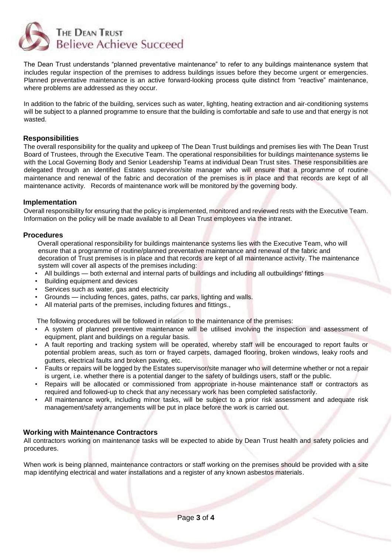

The Dean Trust understands "planned preventative maintenance" to refer to any buildings maintenance system that includes regular inspection of the premises to address buildings issues before they become urgent or emergencies. Planned preventative maintenance is an active forward-looking process quite distinct from "reactive" maintenance, where problems are addressed as they occur.

In addition to the fabric of the building, services such as water, lighting, heating extraction and air-conditioning systems will be subject to a planned programme to ensure that the building is comfortable and safe to use and that energy is not wasted.

#### **Responsibilities**

The overall responsibility for the quality and upkeep of The Dean Trust buildings and premises lies with The Dean Trust Board of Trustees, through the Executive Team. The operational responsibilities for buildings maintenance systems lie with the Local Governing Body and Senior Leadership Teams at individual Dean Trust sites. These responsibilities are delegated through an identified Estates supervisor/site manager who will ensure that a programme of routine maintenance and renewal of the fabric and decoration of the premises is in place and that records are kept of all maintenance activity. Records of maintenance work will be monitored by the governing body.

#### **Implementation**

Overall responsibility for ensuring that the policy is implemented, monitored and reviewed rests with the Executive Team. Information on the policy will be made available to all Dean Trust employees via the intranet.

#### **Procedures**

Overall operational responsibility for buildings maintenance systems lies with the Executive Team, who will ensure that a programme of routine/planned preventative maintenance and renewal of the fabric and decoration of Trust premises is in place and that records are kept of all maintenance activity. The maintenance system will cover all aspects of the premises including:

- All buildings both external and internal parts of buildings and including all outbuildings' fittings
- Building equipment and devices
- Services such as water, gas and electricity
- Grounds including fences, gates, paths, car parks, lighting and walls.
- All material parts of the premises, including fixtures and fittings.,

The following procedures will be followed in relation to the maintenance of the premises:

- A system of planned preventive maintenance will be utilised involving the inspection and assessment of equipment, plant and buildings on a regular basis.
- A fault reporting and tracking system will be operated, whereby staff will be encouraged to report faults or potential problem areas, such as torn or frayed carpets, damaged flooring, broken windows, leaky roofs and gutters, electrical faults and broken paving, etc.
- Faults or repairs will be logged by the Estates supervisor/site manager who will determine whether or not a repair is urgent, i.e. whether there is a potential danger to the safety of buildings users, staff or the public.
- Repairs will be allocated or commissioned from appropriate in-house maintenance staff or contractors as required and followed-up to check that any necessary work has been completed satisfactorily.
- All maintenance work, including minor tasks, will be subject to a prior risk assessment and adequate risk management/safety arrangements will be put in place before the work is carried out.

# **Working with Maintenance Contractors**

All contractors working on maintenance tasks will be expected to abide by Dean Trust health and safety policies and procedures.

When work is being planned, maintenance contractors or staff working on the premises should be provided with a site map identifying electrical and water installations and a register of any known asbestos materials.